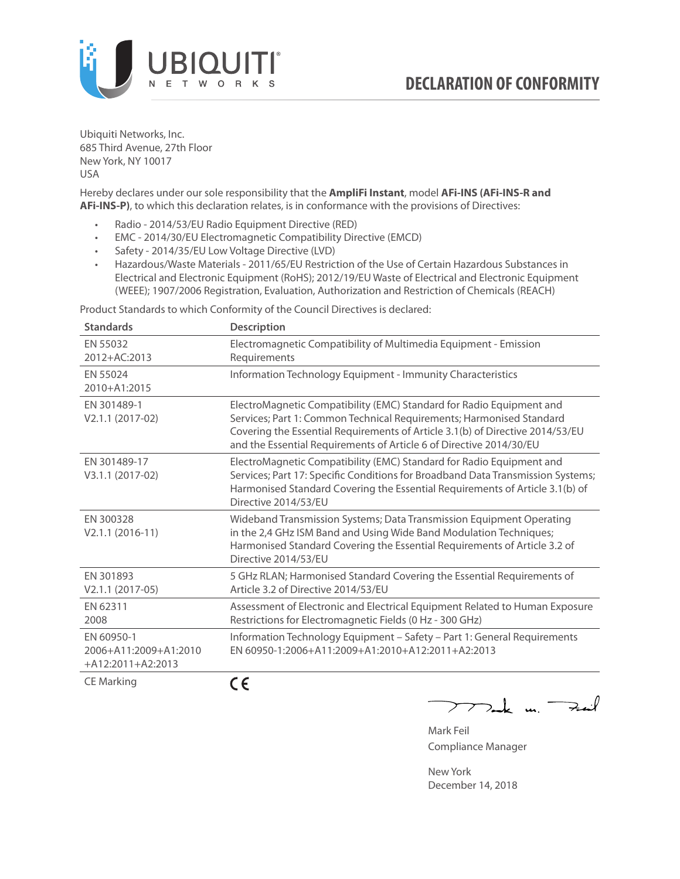

Ubiquiti Networks, Inc. 685 Third Avenue, 27th Floor New York, NY 10017 USA

Hereby declares under our sole responsibility that the **AmpliFi Instant**, model **AFi-INS (AFi-INS-R and AFi-INS-P)**, to which this declaration relates, is in conformance with the provisions of Directives:

- Radio 2014/53/EU Radio Equipment Directive (RED)
- EMC 2014/30/EU Electromagnetic Compatibility Directive (EMCD)
- Safety 2014/35/EU Low Voltage Directive (LVD)
- Hazardous/Waste Materials 2011/65/EU Restriction of the Use of Certain Hazardous Substances in Electrical and Electronic Equipment (RoHS); 2012/19/EU Waste of Electrical and Electronic Equipment (WEEE); 1907/2006 Registration, Evaluation, Authorization and Restriction of Chemicals (REACH)

Product Standards to which Conformity of the Council Directives is declared:

| <b>Standards</b>                                           | <b>Description</b>                                                                                                                                                                                                                                                                                   |
|------------------------------------------------------------|------------------------------------------------------------------------------------------------------------------------------------------------------------------------------------------------------------------------------------------------------------------------------------------------------|
| EN 55032<br>2012+AC:2013                                   | Electromagnetic Compatibility of Multimedia Equipment - Emission<br>Requirements                                                                                                                                                                                                                     |
| EN 55024<br>2010+A1:2015                                   | Information Technology Equipment - Immunity Characteristics                                                                                                                                                                                                                                          |
| EN 301489-1<br>V2.1.1 (2017-02)                            | ElectroMagnetic Compatibility (EMC) Standard for Radio Equipment and<br>Services; Part 1: Common Technical Requirements; Harmonised Standard<br>Covering the Essential Requirements of Article 3.1(b) of Directive 2014/53/EU<br>and the Essential Requirements of Article 6 of Directive 2014/30/EU |
| EN 301489-17<br>V3.1.1 (2017-02)                           | ElectroMagnetic Compatibility (EMC) Standard for Radio Equipment and<br>Services; Part 17: Specific Conditions for Broadband Data Transmission Systems;<br>Harmonised Standard Covering the Essential Requirements of Article 3.1(b) of<br>Directive 2014/53/EU                                      |
| EN 300328<br>$V2.1.1 (2016-11)$                            | Wideband Transmission Systems; Data Transmission Equipment Operating<br>in the 2,4 GHz ISM Band and Using Wide Band Modulation Techniques;<br>Harmonised Standard Covering the Essential Requirements of Article 3.2 of<br>Directive 2014/53/EU                                                      |
| EN 301893<br>$V2.1.1 (2017-05)$                            | 5 GHz RLAN; Harmonised Standard Covering the Essential Requirements of<br>Article 3.2 of Directive 2014/53/EU                                                                                                                                                                                        |
| EN 62311<br>2008                                           | Assessment of Electronic and Electrical Equipment Related to Human Exposure<br>Restrictions for Electromagnetic Fields (0 Hz - 300 GHz)                                                                                                                                                              |
| EN 60950-1<br>2006+A11:2009+A1:2010<br>$+A12:2011+A2:2013$ | Information Technology Equipment - Safety - Part 1: General Requirements<br>EN 60950-1:2006+A11:2009+A1:2010+A12:2011+A2:2013                                                                                                                                                                        |
| $C = M \cdot 1$                                            | - -                                                                                                                                                                                                                                                                                                  |

CE Marking

CE

Ik m. Fail  $\overline{\phantom{a}}$ 

Mark Feil Compliance Manager

New York December 14, 2018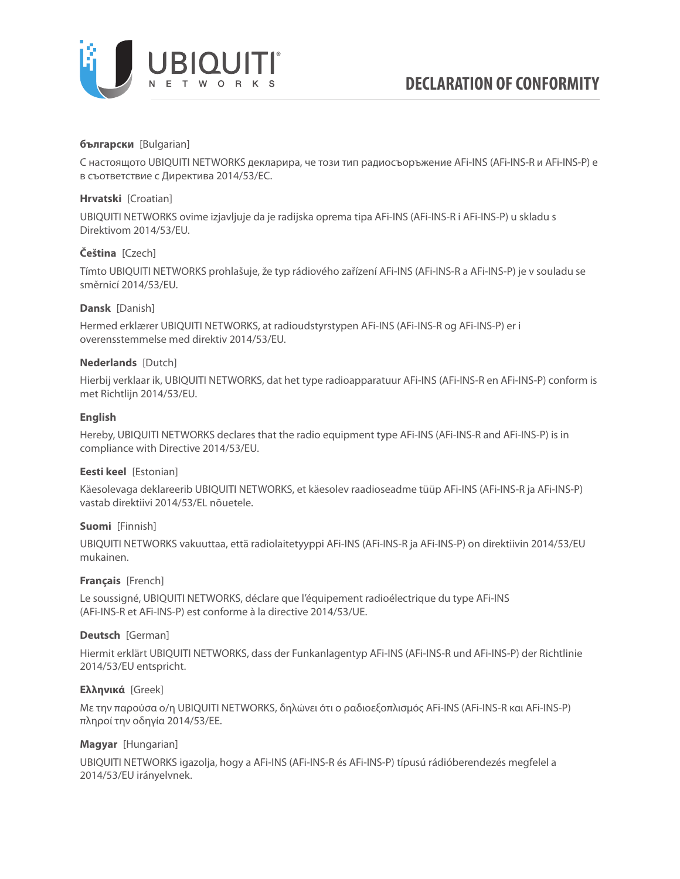

### **български** [Bulgarian]

С настоящото UBIQUITI NETWORKS декларира, че този тип радиосъоръжение AFi-INS (AFi-INS-R и AFi-INS-P) е в съответствие с Директива 2014/53/ЕС.

## **Hrvatski** [Croatian]

UBIQUITI NETWORKS ovime izjavljuje da je radijska oprema tipa AFi-INS (AFi-INS-R i AFi-INS-P) u skladu s Direktivom 2014/53/EU.

### **Čeština** [Czech]

Tímto UBIQUITI NETWORKS prohlašuje, že typ rádiového zařízení AFi-INS (AFi-INS-R a AFi-INS-P) je v souladu se směrnicí 2014/53/EU.

### **Dansk** [Danish]

Hermed erklærer UBIQUITI NETWORKS, at radioudstyrstypen AFi-INS (AFi-INS-R og AFi-INS-P) er i overensstemmelse med direktiv 2014/53/EU.

### **Nederlands** [Dutch]

Hierbij verklaar ik, UBIQUITI NETWORKS, dat het type radioapparatuur AFi-INS (AFi-INS-R en AFi-INS-P) conform is met Richtlijn 2014/53/EU.

## **English**

Hereby, UBIQUITI NETWORKS declares that the radio equipment type AFi-INS (AFi-INS-R and AFi-INS-P) is in compliance with Directive 2014/53/EU.

### **Eesti keel** [Estonian]

Käesolevaga deklareerib UBIQUITI NETWORKS, et käesolev raadioseadme tüüp AFi-INS (AFi-INS-R ja AFi-INS-P) vastab direktiivi 2014/53/EL nõuetele.

### **Suomi** [Finnish]

UBIQUITI NETWORKS vakuuttaa, että radiolaitetyyppi AFi-INS (AFi-INS-R ja AFi-INS-P) on direktiivin 2014/53/EU mukainen.

### **Français** [French]

Le soussigné, UBIQUITI NETWORKS, déclare que l'équipement radioélectrique du type AFi-INS (AFi-INS-R et AFi-INS-P) est conforme à la directive 2014/53/UE.

### **Deutsch** [German]

Hiermit erklärt UBIQUITI NETWORKS, dass der Funkanlagentyp AFi-INS (AFi-INS-R und AFi-INS-P) der Richtlinie 2014/53/EU entspricht.

### **Ελληνικά** [Greek]

Με την παρούσα ο/η UBIQUITI NETWORKS, δηλώνει ότι ο ραδιοεξοπλισμός AFi-INS (AFi-INS-R και AFi-INS-P) πληροί την οδηγία 2014/53/ΕΕ.

### **Magyar** [Hungarian]

UBIQUITI NETWORKS igazolja, hogy a AFi-INS (AFi-INS-R és AFi-INS-P) típusú rádióberendezés megfelel a 2014/53/EU irányelvnek.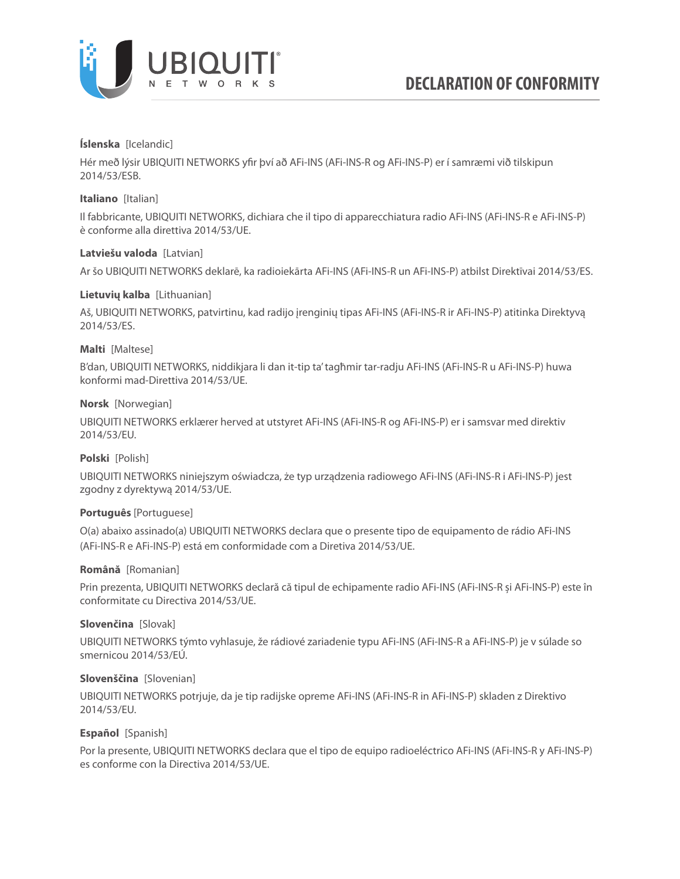

### **Íslenska** [Icelandic]

Hér með lýsir UBIQUITI NETWORKS yfir því að AFi-INS (AFi-INS-R og AFi-INS-P) er í samræmi við tilskipun 2014/53/ESB.

### **Italiano** [Italian]

Il fabbricante, UBIQUITI NETWORKS, dichiara che il tipo di apparecchiatura radio AFi-INS (AFi-INS-R e AFi-INS-P) è conforme alla direttiva 2014/53/UE.

### **Latviešu valoda** [Latvian]

Ar šo UBIQUITI NETWORKS deklarē, ka radioiekārta AFi-INS (AFi-INS-R un AFi-INS-P) atbilst Direktīvai 2014/53/ES.

## **Lietuvių kalba** [Lithuanian]

Aš, UBIQUITI NETWORKS, patvirtinu, kad radijo įrenginių tipas AFi-INS (AFi-INS-R ir AFi-INS-P) atitinka Direktyvą 2014/53/ES.

## **Malti** [Maltese]

B'dan, UBIQUITI NETWORKS, niddikjara li dan it-tip ta' tagħmir tar-radju AFi-INS (AFi-INS-R u AFi-INS-P) huwa konformi mad-Direttiva 2014/53/UE.

### **Norsk** [Norwegian]

UBIQUITI NETWORKS erklærer herved at utstyret AFi-INS (AFi-INS-R og AFi-INS-P) er i samsvar med direktiv 2014/53/EU.

# **Polski** [Polish]

UBIQUITI NETWORKS niniejszym oświadcza, że typ urządzenia radiowego AFi-INS (AFi-INS-R i AFi-INS-P) jest zgodny z dyrektywą 2014/53/UE.

### **Português** [Portuguese]

O(a) abaixo assinado(a) UBIQUITI NETWORKS declara que o presente tipo de equipamento de rádio AFi-INS (AFi-INS-R e AFi-INS-P) está em conformidade com a Diretiva 2014/53/UE.

### **Română** [Romanian]

Prin prezenta, UBIQUITI NETWORKS declară că tipul de echipamente radio AFi-INS (AFi-INS-R și AFi-INS-P) este în conformitate cu Directiva 2014/53/UE.

### **Slovenčina** [Slovak]

UBIQUITI NETWORKS týmto vyhlasuje, že rádiové zariadenie typu AFi-INS (AFi-INS-R a AFi-INS-P) je v súlade so smernicou 2014/53/EÚ.

### **Slovenščina** [Slovenian]

UBIQUITI NETWORKS potrjuje, da je tip radijske opreme AFi-INS (AFi-INS-R in AFi-INS-P) skladen z Direktivo 2014/53/EU.

### **Español** [Spanish]

Por la presente, UBIQUITI NETWORKS declara que el tipo de equipo radioeléctrico AFi-INS (AFi-INS-R y AFi-INS-P) es conforme con la Directiva 2014/53/UE.